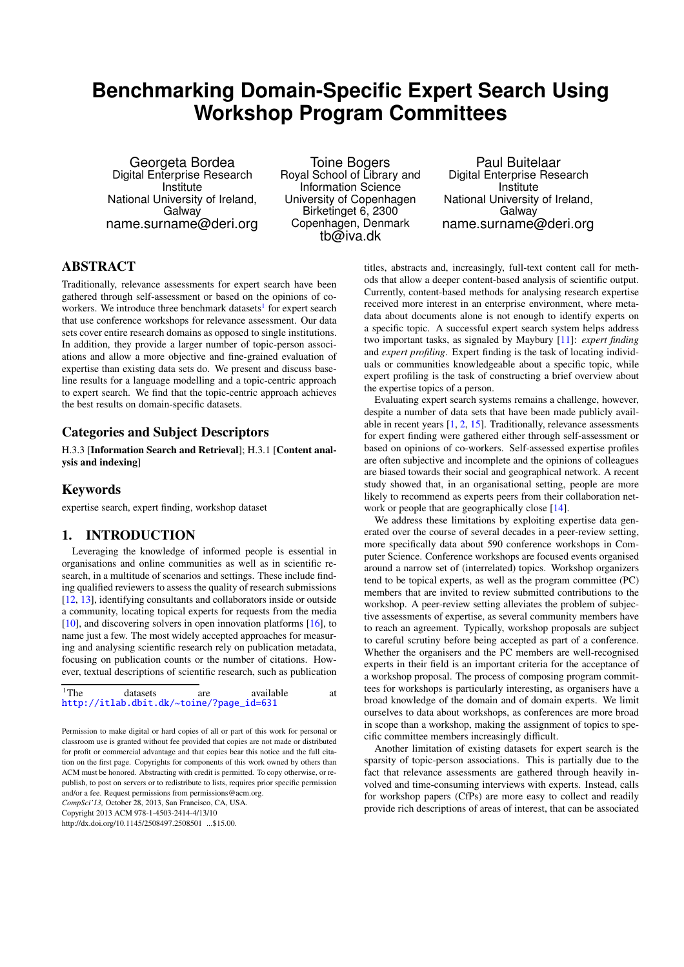# **Benchmarking Domain-Specific Expert Search Using Workshop Program Committees**

Georgeta Bordea Digital Enterprise Research Institute National University of Ireland, Galway name.surname@deri.org

Toine Bogers Royal School of Library and Information Science University of Copenhagen Birketinget 6, 2300 Copenhagen, Denmark tb@iva.dk

Paul Buitelaar Digital Enterprise Research Institute National University of Ireland, Galway name.surname@deri.org

# ABSTRACT

Traditionally, relevance assessments for expert search have been gathered through self-assessment or based on the opinions of co-workers. We introduce three benchmark datasets<sup>[1](#page-0-0)</sup> for expert search that use conference workshops for relevance assessment. Our data sets cover entire research domains as opposed to single institutions. In addition, they provide a larger number of topic-person associations and allow a more objective and fine-grained evaluation of expertise than existing data sets do. We present and discuss baseline results for a language modelling and a topic-centric approach to expert search. We find that the topic-centric approach achieves the best results on domain-specific datasets.

## Categories and Subject Descriptors

H.3.3 [Information Search and Retrieval]; H.3.1 [Content analysis and indexing]

## Keywords

expertise search, expert finding, workshop dataset

## 1. INTRODUCTION

Leveraging the knowledge of informed people is essential in organisations and online communities as well as in scientific research, in a multitude of scenarios and settings. These include finding qualified reviewers to assess the quality of research submissions [\[12,](#page-5-0) [13\]](#page-5-1), identifying consultants and collaborators inside or outside a community, locating topical experts for requests from the media [\[10\]](#page-5-2), and discovering solvers in open innovation platforms [\[16\]](#page-5-3), to name just a few. The most widely accepted approaches for measuring and analysing scientific research rely on publication metadata, focusing on publication counts or the number of citations. However, textual descriptions of scientific research, such as publication

<span id="page-0-0"></span>

| $1$ The | datasets                                 | are | available |  |
|---------|------------------------------------------|-----|-----------|--|
|         | http://itlab.dbit.dk/~toine/?page_id=631 |     |           |  |

Permission to make digital or hard copies of all or part of this work for personal or classroom use is granted without fee provided that copies are not made or distributed for profit or commercial advantage and that copies bear this notice and the full citation on the first page. Copyrights for components of this work owned by others than ACM must be honored. Abstracting with credit is permitted. To copy otherwise, or republish, to post on servers or to redistribute to lists, requires prior specific permission and/or a fee. Request permissions from permissions@acm.org.

*CompSci'13,* October 28, 2013, San Francisco, CA, USA.

Copyright 2013 ACM 978-1-4503-2414-4/13/10

http://dx.doi.org/10.1145/2508497.2508501 ...\$15.00.

titles, abstracts and, increasingly, full-text content call for methods that allow a deeper content-based analysis of scientific output. Currently, content-based methods for analysing research expertise received more interest in an enterprise environment, where metadata about documents alone is not enough to identify experts on a specific topic. A successful expert search system helps address two important tasks, as signaled by Maybury [\[11\]](#page-5-4): *expert finding* and *expert profiling*. Expert finding is the task of locating individuals or communities knowledgeable about a specific topic, while expert profiling is the task of constructing a brief overview about the expertise topics of a person.

Evaluating expert search systems remains a challenge, however, despite a number of data sets that have been made publicly available in recent years  $[1, 2, 15]$  $[1, 2, 15]$  $[1, 2, 15]$  $[1, 2, 15]$ . Traditionally, relevance assessments for expert finding were gathered either through self-assessment or based on opinions of co-workers. Self-assessed expertise profiles are often subjective and incomplete and the opinions of colleagues are biased towards their social and geographical network. A recent study showed that, in an organisational setting, people are more likely to recommend as experts peers from their collaboration net-work or people that are geographically close [\[14\]](#page-5-8).

We address these limitations by exploiting expertise data generated over the course of several decades in a peer-review setting, more specifically data about 590 conference workshops in Computer Science. Conference workshops are focused events organised around a narrow set of (interrelated) topics. Workshop organizers tend to be topical experts, as well as the program committee (PC) members that are invited to review submitted contributions to the workshop. A peer-review setting alleviates the problem of subjective assessments of expertise, as several community members have to reach an agreement. Typically, workshop proposals are subject to careful scrutiny before being accepted as part of a conference. Whether the organisers and the PC members are well-recognised experts in their field is an important criteria for the acceptance of a workshop proposal. The process of composing program committees for workshops is particularly interesting, as organisers have a broad knowledge of the domain and of domain experts. We limit ourselves to data about workshops, as conferences are more broad in scope than a workshop, making the assignment of topics to specific committee members increasingly difficult.

Another limitation of existing datasets for expert search is the sparsity of topic-person associations. This is partially due to the fact that relevance assessments are gathered through heavily involved and time-consuming interviews with experts. Instead, calls for workshop papers (CfPs) are more easy to collect and readily provide rich descriptions of areas of interest, that can be associated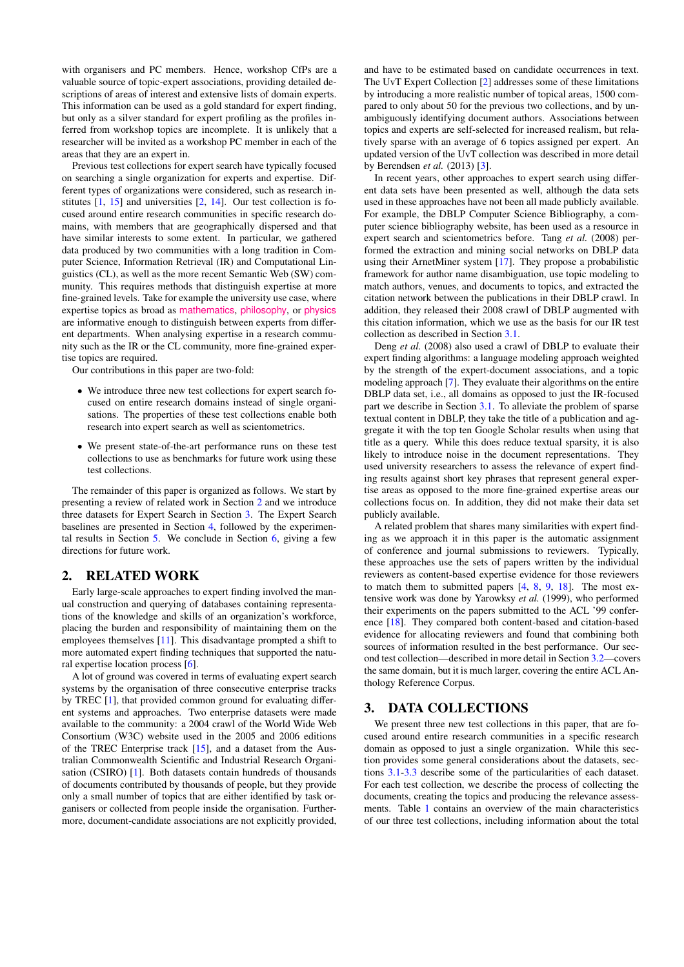with organisers and PC members. Hence, workshop CfPs are a valuable source of topic-expert associations, providing detailed descriptions of areas of interest and extensive lists of domain experts. This information can be used as a gold standard for expert finding, but only as a silver standard for expert profiling as the profiles inferred from workshop topics are incomplete. It is unlikely that a researcher will be invited as a workshop PC member in each of the areas that they are an expert in.

Previous test collections for expert search have typically focused on searching a single organization for experts and expertise. Different types of organizations were considered, such as research institutes [\[1,](#page-5-5) [15\]](#page-5-7) and universities [\[2,](#page-5-6) [14\]](#page-5-8). Our test collection is focused around entire research communities in specific research domains, with members that are geographically dispersed and that have similar interests to some extent. In particular, we gathered data produced by two communities with a long tradition in Computer Science, Information Retrieval (IR) and Computational Linguistics (CL), as well as the more recent Semantic Web (SW) community. This requires methods that distinguish expertise at more fine-grained levels. Take for example the university use case, where expertise topics as broad as mathematics, philosophy, or physics are informative enough to distinguish between experts from different departments. When analysing expertise in a research community such as the IR or the CL community, more fine-grained expertise topics are required.

Our contributions in this paper are two-fold:

- We introduce three new test collections for expert search focused on entire research domains instead of single organisations. The properties of these test collections enable both research into expert search as well as scientometrics.
- We present state-of-the-art performance runs on these test collections to use as benchmarks for future work using these test collections.

The remainder of this paper is organized as follows. We start by presenting a review of related work in Section [2](#page-1-0) and we introduce three datasets for Expert Search in Section [3.](#page-1-1) The Expert Search baselines are presented in Section [4,](#page-3-0) followed by the experimental results in Section [5.](#page-4-0) We conclude in Section [6,](#page-5-9) giving a few directions for future work.

## <span id="page-1-0"></span>2. RELATED WORK

Early large-scale approaches to expert finding involved the manual construction and querying of databases containing representations of the knowledge and skills of an organization's workforce, placing the burden and responsibility of maintaining them on the employees themselves [\[11\]](#page-5-4). This disadvantage prompted a shift to more automated expert finding techniques that supported the natural expertise location process [\[6\]](#page-5-10).

A lot of ground was covered in terms of evaluating expert search systems by the organisation of three consecutive enterprise tracks by TREC [\[1\]](#page-5-5), that provided common ground for evaluating different systems and approaches. Two enterprise datasets were made available to the community: a 2004 crawl of the World Wide Web Consortium (W3C) website used in the 2005 and 2006 editions of the TREC Enterprise track [\[15\]](#page-5-7), and a dataset from the Australian Commonwealth Scientific and Industrial Research Organisation (CSIRO) [\[1\]](#page-5-5). Both datasets contain hundreds of thousands of documents contributed by thousands of people, but they provide only a small number of topics that are either identified by task organisers or collected from people inside the organisation. Furthermore, document-candidate associations are not explicitly provided,

and have to be estimated based on candidate occurrences in text. The UvT Expert Collection [\[2\]](#page-5-6) addresses some of these limitations by introducing a more realistic number of topical areas, 1500 compared to only about 50 for the previous two collections, and by unambiguously identifying document authors. Associations between topics and experts are self-selected for increased realism, but relatively sparse with an average of 6 topics assigned per expert. An updated version of the UvT collection was described in more detail by Berendsen *et al.* (2013) [\[3\]](#page-5-11).

In recent years, other approaches to expert search using different data sets have been presented as well, although the data sets used in these approaches have not been all made publicly available. For example, the DBLP Computer Science Bibliography, a computer science bibliography website, has been used as a resource in expert search and scientometrics before. Tang *et al.* (2008) performed the extraction and mining social networks on DBLP data using their ArnetMiner system [\[17\]](#page-5-12). They propose a probabilistic framework for author name disambiguation, use topic modeling to match authors, venues, and documents to topics, and extracted the citation network between the publications in their DBLP crawl. In addition, they released their 2008 crawl of DBLP augmented with this citation information, which we use as the basis for our IR test collection as described in Section [3.1.](#page-2-0)

Deng *et al.* (2008) also used a crawl of DBLP to evaluate their expert finding algorithms: a language modeling approach weighted by the strength of the expert-document associations, and a topic modeling approach [\[7\]](#page-5-13). They evaluate their algorithms on the entire DBLP data set, i.e., all domains as opposed to just the IR-focused part we describe in Section [3.1.](#page-2-0) To alleviate the problem of sparse textual content in DBLP, they take the title of a publication and aggregate it with the top ten Google Scholar results when using that title as a query. While this does reduce textual sparsity, it is also likely to introduce noise in the document representations. They used university researchers to assess the relevance of expert finding results against short key phrases that represent general expertise areas as opposed to the more fine-grained expertise areas our collections focus on. In addition, they did not make their data set publicly available.

A related problem that shares many similarities with expert finding as we approach it in this paper is the automatic assignment of conference and journal submissions to reviewers. Typically, these approaches use the sets of papers written by the individual reviewers as content-based expertise evidence for those reviewers to match them to submitted papers [\[4,](#page-5-14) [8,](#page-5-15) [9,](#page-5-16) [18\]](#page-5-17). The most extensive work was done by Yarowksy *et al.* (1999), who performed their experiments on the papers submitted to the ACL '99 conference [\[18\]](#page-5-17). They compared both content-based and citation-based evidence for allocating reviewers and found that combining both sources of information resulted in the best performance. Our second test collection—described in more detail in Section [3.2—](#page-3-1)covers the same domain, but it is much larger, covering the entire ACL Anthology Reference Corpus.

#### <span id="page-1-1"></span>3. DATA COLLECTIONS

We present three new test collections in this paper, that are focused around entire research communities in a specific research domain as opposed to just a single organization. While this section provides some general considerations about the datasets, sections [3.1-](#page-2-0)[3.3](#page-3-2) describe some of the particularities of each dataset. For each test collection, we describe the process of collecting the documents, creating the topics and producing the relevance assessments. Table [1](#page-2-1) contains an overview of the main characteristics of our three test collections, including information about the total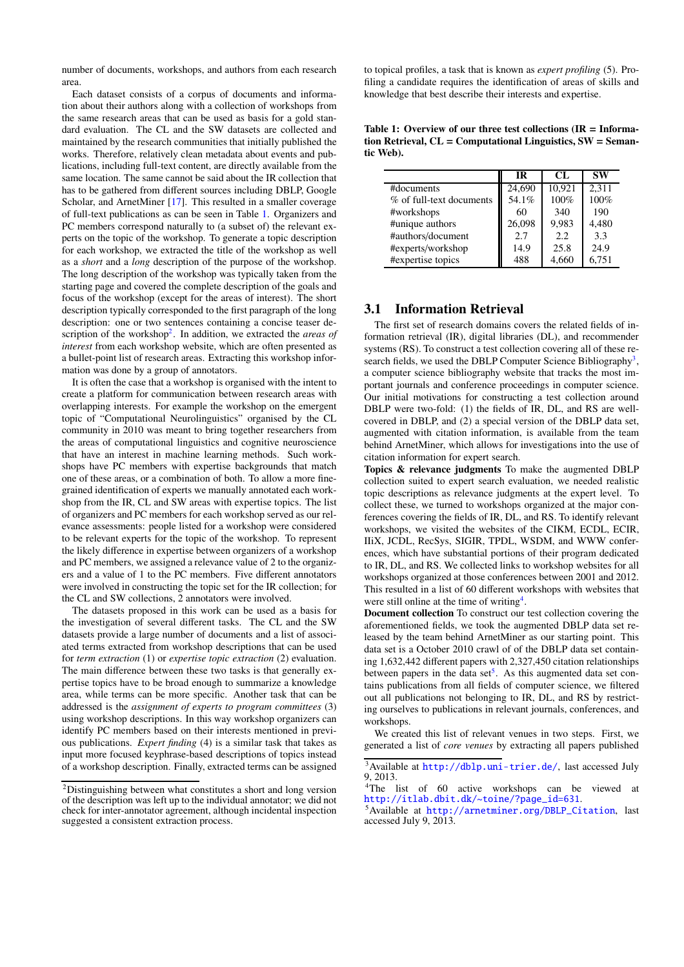number of documents, workshops, and authors from each research area.

Each dataset consists of a corpus of documents and information about their authors along with a collection of workshops from the same research areas that can be used as basis for a gold standard evaluation. The CL and the SW datasets are collected and maintained by the research communities that initially published the works. Therefore, relatively clean metadata about events and publications, including full-text content, are directly available from the same location. The same cannot be said about the IR collection that has to be gathered from different sources including DBLP, Google Scholar, and ArnetMiner [\[17\]](#page-5-12). This resulted in a smaller coverage of full-text publications as can be seen in Table [1.](#page-2-1) Organizers and PC members correspond naturally to (a subset of) the relevant experts on the topic of the workshop. To generate a topic description for each workshop, we extracted the title of the workshop as well as a *short* and a *long* description of the purpose of the workshop. The long description of the workshop was typically taken from the starting page and covered the complete description of the goals and focus of the workshop (except for the areas of interest). The short description typically corresponded to the first paragraph of the long description: one or two sentences containing a concise teaser de-scription of the workshop<sup>[2](#page-2-2)</sup>. In addition, we extracted the *areas of interest* from each workshop website, which are often presented as a bullet-point list of research areas. Extracting this workshop information was done by a group of annotators.

It is often the case that a workshop is organised with the intent to create a platform for communication between research areas with overlapping interests. For example the workshop on the emergent topic of "Computational Neurolinguistics" organised by the CL community in 2010 was meant to bring together researchers from the areas of computational linguistics and cognitive neuroscience that have an interest in machine learning methods. Such workshops have PC members with expertise backgrounds that match one of these areas, or a combination of both. To allow a more finegrained identification of experts we manually annotated each workshop from the IR, CL and SW areas with expertise topics. The list of organizers and PC members for each workshop served as our relevance assessments: people listed for a workshop were considered to be relevant experts for the topic of the workshop. To represent the likely difference in expertise between organizers of a workshop and PC members, we assigned a relevance value of 2 to the organizers and a value of 1 to the PC members. Five different annotators were involved in constructing the topic set for the IR collection; for the CL and SW collections, 2 annotators were involved.

The datasets proposed in this work can be used as a basis for the investigation of several different tasks. The CL and the SW datasets provide a large number of documents and a list of associated terms extracted from workshop descriptions that can be used for *term extraction* (1) or *expertise topic extraction* (2) evaluation. The main difference between these two tasks is that generally expertise topics have to be broad enough to summarize a knowledge area, while terms can be more specific. Another task that can be addressed is the *assignment of experts to program committees* (3) using workshop descriptions. In this way workshop organizers can identify PC members based on their interests mentioned in previous publications. *Expert finding* (4) is a similar task that takes as input more focused keyphrase-based descriptions of topics instead of a workshop description. Finally, extracted terms can be assigned

to topical profiles, a task that is known as *expert profiling* (5). Profiling a candidate requires the identification of areas of skills and knowledge that best describe their interests and expertise.

<span id="page-2-1"></span>Table 1: Overview of our three test collections  $(IR = Informa$ tion Retrieval,  $CL = Computational Linguistics, SW = Seman$ tic Web).

|                          | <b>IR</b> | CL     | SW    |
|--------------------------|-----------|--------|-------|
| #documents               | 24,690    | 10.921 | 2,311 |
| % of full-text documents | 54.1%     | 100%   | 100%  |
| #workshops               | 60        | 340    | 190   |
| #unique authors          | 26,098    | 9.983  | 4,480 |
| #authors/document        | 2.7       | 2.2    | 3.3   |
| #experts/workshop        | 14.9      | 25.8   | 24.9  |
| #expertise topics        | 488       | 4,660  | 6,751 |

## <span id="page-2-0"></span>3.1 Information Retrieval

The first set of research domains covers the related fields of information retrieval (IR), digital libraries (DL), and recommender systems (RS). To construct a test collection covering all of these re-search fields, we used the DBLP Computer Science Bibliography<sup>[3](#page-2-3)</sup>, a computer science bibliography website that tracks the most important journals and conference proceedings in computer science. Our initial motivations for constructing a test collection around DBLP were two-fold: (1) the fields of IR, DL, and RS are wellcovered in DBLP, and (2) a special version of the DBLP data set, augmented with citation information, is available from the team behind ArnetMiner, which allows for investigations into the use of citation information for expert search.

Topics & relevance judgments To make the augmented DBLP collection suited to expert search evaluation, we needed realistic topic descriptions as relevance judgments at the expert level. To collect these, we turned to workshops organized at the major conferences covering the fields of IR, DL, and RS. To identify relevant workshops, we visited the websites of the CIKM, ECDL, ECIR, IIiX, JCDL, RecSys, SIGIR, TPDL, WSDM, and WWW conferences, which have substantial portions of their program dedicated to IR, DL, and RS. We collected links to workshop websites for all workshops organized at those conferences between 2001 and 2012. This resulted in a list of 60 different workshops with websites that were still online at the time of writing<sup>[4](#page-2-4)</sup>.

Document collection To construct our test collection covering the aforementioned fields, we took the augmented DBLP data set released by the team behind ArnetMiner as our starting point. This data set is a October 2010 crawl of of the DBLP data set containing 1,632,442 different papers with 2,327,450 citation relationships between papers in the data set<sup>[5](#page-2-5)</sup>. As this augmented data set contains publications from all fields of computer science, we filtered out all publications not belonging to IR, DL, and RS by restricting ourselves to publications in relevant journals, conferences, and workshops.

We created this list of relevant venues in two steps. First, we generated a list of *core venues* by extracting all papers published

<span id="page-2-2"></span><sup>2</sup>Distinguishing between what constitutes a short and long version of the description was left up to the individual annotator; we did not check for inter-annotator agreement, although incidental inspection suggested a consistent extraction process.

<sup>3</sup>Available at <http://dblp.uni-trier.de/>, last accessed July 9, 2013.

<span id="page-2-3"></span><sup>&</sup>lt;sup>4</sup>The list of 60 active workshops can be viewed at [http://itlab.dbit.dk/~toine/?page\\_id=631](http://itlab.dbit.dk/~toine/?page_id=631).

<span id="page-2-5"></span><span id="page-2-4"></span><sup>5</sup>Available at [http://arnetminer.org/DBLP\\_Citation](http://arnetminer.org/DBLP_Citation), last accessed July 9, 2013.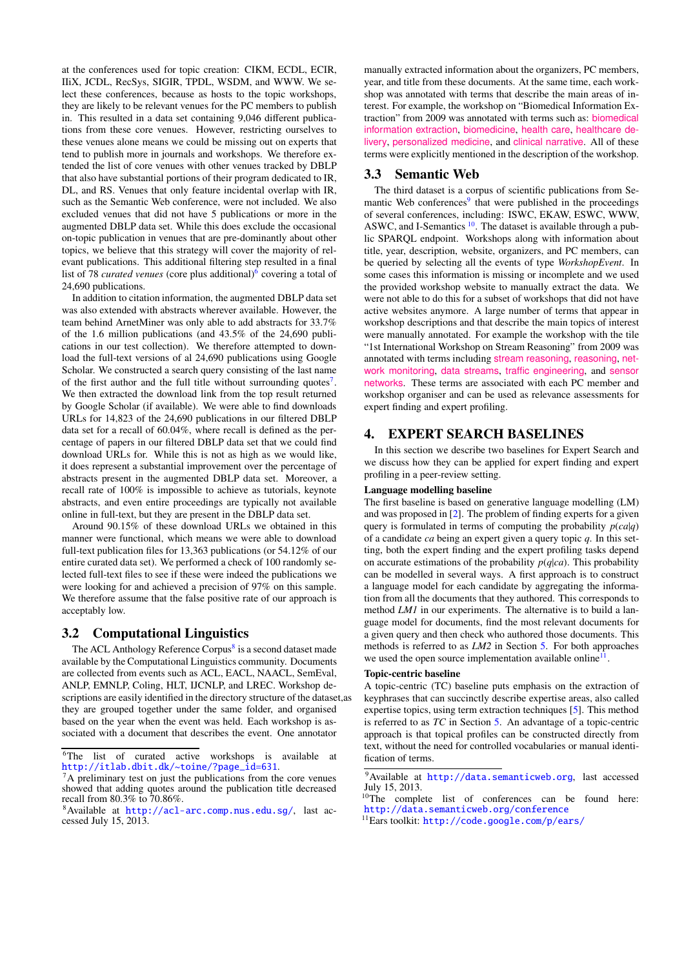at the conferences used for topic creation: CIKM, ECDL, ECIR, IIiX, JCDL, RecSys, SIGIR, TPDL, WSDM, and WWW. We select these conferences, because as hosts to the topic workshops, they are likely to be relevant venues for the PC members to publish in. This resulted in a data set containing 9,046 different publications from these core venues. However, restricting ourselves to these venues alone means we could be missing out on experts that tend to publish more in journals and workshops. We therefore extended the list of core venues with other venues tracked by DBLP that also have substantial portions of their program dedicated to IR, DL, and RS. Venues that only feature incidental overlap with IR, such as the Semantic Web conference, were not included. We also excluded venues that did not have 5 publications or more in the augmented DBLP data set. While this does exclude the occasional on-topic publication in venues that are pre-dominantly about other topics, we believe that this strategy will cover the majority of relevant publications. This additional filtering step resulted in a final list of 78 *curated venues* (core plus additional)<sup>[6](#page-3-3)</sup> covering a total of 24,690 publications.

In addition to citation information, the augmented DBLP data set was also extended with abstracts wherever available. However, the team behind ArnetMiner was only able to add abstracts for 33.7% of the 1.6 million publications (and 43.5% of the 24,690 publications in our test collection). We therefore attempted to download the full-text versions of al 24,690 publications using Google Scholar. We constructed a search query consisting of the last name of the first author and the full title without surrounding quotes<sup>[7](#page-3-4)</sup>. We then extracted the download link from the top result returned by Google Scholar (if available). We were able to find downloads URLs for 14,823 of the 24,690 publications in our filtered DBLP data set for a recall of 60.04%, where recall is defined as the percentage of papers in our filtered DBLP data set that we could find download URLs for. While this is not as high as we would like, it does represent a substantial improvement over the percentage of abstracts present in the augmented DBLP data set. Moreover, a recall rate of 100% is impossible to achieve as tutorials, keynote abstracts, and even entire proceedings are typically not available online in full-text, but they are present in the DBLP data set.

Around 90.15% of these download URLs we obtained in this manner were functional, which means we were able to download full-text publication files for 13,363 publications (or 54.12% of our entire curated data set). We performed a check of 100 randomly selected full-text files to see if these were indeed the publications we were looking for and achieved a precision of 97% on this sample. We therefore assume that the false positive rate of our approach is acceptably low.

#### <span id="page-3-1"></span>3.2 Computational Linguistics

The ACL Anthology Reference Corpus<sup>[8](#page-3-5)</sup> is a second dataset made available by the Computational Linguistics community. Documents are collected from events such as ACL, EACL, NAACL, SemEval, ANLP, EMNLP, Coling, HLT, IJCNLP, and LREC. Workshop descriptions are easily identified in the directory structure of the dataset,as they are grouped together under the same folder, and organised based on the year when the event was held. Each workshop is associated with a document that describes the event. One annotator

manually extracted information about the organizers, PC members, year, and title from these documents. At the same time, each workshop was annotated with terms that describe the main areas of interest. For example, the workshop on "Biomedical Information Extraction" from 2009 was annotated with terms such as: biomedical information extraction, biomedicine, health care, healthcare delivery, personalized medicine, and clinical narrative. All of these terms were explicitly mentioned in the description of the workshop.

## <span id="page-3-2"></span>3.3 Semantic Web

The third dataset is a corpus of scientific publications from Se-mantic Web conferences<sup>[9](#page-3-6)</sup> that were published in the proceedings of several conferences, including: ISWC, EKAW, ESWC, WWW, ASWC, and I-Semantics <sup>[10](#page-3-7)</sup>. The dataset is available through a public SPARQL endpoint. Workshops along with information about title, year, description, website, organizers, and PC members, can be queried by selecting all the events of type *WorkshopEvent*. In some cases this information is missing or incomplete and we used the provided workshop website to manually extract the data. We were not able to do this for a subset of workshops that did not have active websites anymore. A large number of terms that appear in workshop descriptions and that describe the main topics of interest were manually annotated. For example the workshop with the tile "1st International Workshop on Stream Reasoning" from 2009 was annotated with terms including stream reasoning, reasoning, network monitoring, data streams, traffic engineering, and sensor networks. These terms are associated with each PC member and workshop organiser and can be used as relevance assessments for expert finding and expert profiling.

## <span id="page-3-0"></span>4. EXPERT SEARCH BASELINES

In this section we describe two baselines for Expert Search and we discuss how they can be applied for expert finding and expert profiling in a peer-review setting.

#### Language modelling baseline

The first baseline is based on generative language modelling (LM) and was proposed in [\[2\]](#page-5-6). The problem of finding experts for a given query is formulated in terms of computing the probability  $p(ca|q)$ of a candidate *ca* being an expert given a query topic *q*. In this setting, both the expert finding and the expert profiling tasks depend on accurate estimations of the probability  $p(q|ca)$ . This probability can be modelled in several ways. A first approach is to construct a language model for each candidate by aggregating the information from all the documents that they authored. This corresponds to method *LM1* in our experiments. The alternative is to build a language model for documents, find the most relevant documents for a given query and then check who authored those documents. This methods is referred to as *LM2* in Section [5.](#page-4-0) For both approaches we used the open source implementation available online<sup>[11](#page-3-8)</sup>.

#### Topic-centric baseline

A topic-centric (TC) baseline puts emphasis on the extraction of keyphrases that can succinctly describe expertise areas, also called expertise topics, using term extraction techniques [\[5\]](#page-5-18). This method is referred to as *TC* in Section [5.](#page-4-0) An advantage of a topic-centric approach is that topical profiles can be constructed directly from text, without the need for controlled vocabularies or manual identification of terms.

<sup>6</sup>The list of curated active workshops is available at [http://itlab.dbit.dk/~toine/?page\\_id=631](http://itlab.dbit.dk/~toine/?page_id=631).

<span id="page-3-4"></span><span id="page-3-3"></span><sup>7</sup>A preliminary test on just the publications from the core venues showed that adding quotes around the publication title decreased recall from 80.3% to 70.86%.

<span id="page-3-5"></span><sup>8</sup>Available at <http://acl-arc.comp.nus.edu.sg/>, last accessed July 15, 2013.

<sup>&</sup>lt;sup>9</sup>Available at <http://data.semanticweb.org>, last accessed July 15, 2013.

<span id="page-3-6"></span> $10$ The complete list of conferences can be found here: <http://data.semanticweb.org/conference>

<span id="page-3-8"></span><span id="page-3-7"></span><sup>11</sup>Ears toolkit: <http://code.google.com/p/ears/>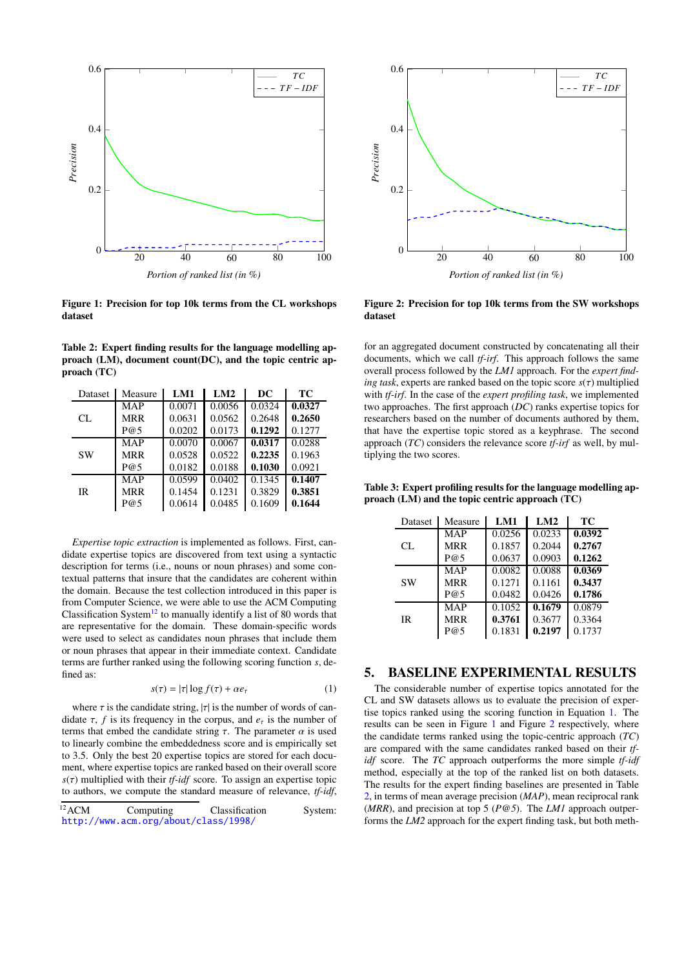

<span id="page-4-3"></span>Figure 1: Precision for top 10k terms from the CL workshops dataset

<span id="page-4-5"></span>Table 2: Expert finding results for the language modelling approach (LM), document count(DC), and the topic centric approach (TC)

| Dataset   | Measure    | LM1    | LM2    | DC     | ТC     |
|-----------|------------|--------|--------|--------|--------|
|           | <b>MAP</b> | 0.0071 | 0.0056 | 0.0324 | 0.0327 |
| CL.       | <b>MRR</b> | 0.0631 | 0.0562 | 0.2648 | 0.2650 |
|           | P@5        | 0.0202 | 0.0173 | 0.1292 | 0.1277 |
|           | <b>MAP</b> | 0.0070 | 0.0067 | 0.0317 | 0.0288 |
| <b>SW</b> | <b>MRR</b> | 0.0528 | 0.0522 | 0.2235 | 0.1963 |
|           | P@5        | 0.0182 | 0.0188 | 0.1030 | 0.0921 |
|           | <b>MAP</b> | 0.0599 | 0.0402 | 0.1345 | 0.1407 |
| <b>IR</b> | <b>MRR</b> | 0.1454 | 0.1231 | 0.3829 | 0.3851 |
|           | P@5        | 0.0614 | 0.0485 | 0.1609 | 0.1644 |

*Expertise topic extraction* is implemented as follows. First, candidate expertise topics are discovered from text using a syntactic description for terms (i.e., nouns or noun phrases) and some contextual patterns that insure that the candidates are coherent within the domain. Because the test collection introduced in this paper is from Computer Science, we were able to use the ACM Computing Classification System<sup>[12](#page-4-1)</sup> to manually identify a list of 80 words that are representative for the domain. These domain-specific words were used to select as candidates noun phrases that include them or noun phrases that appear in their immediate context. Candidate terms are further ranked using the following scoring function *s*, defined as:

<span id="page-4-2"></span>
$$
s(\tau) = |\tau| \log f(\tau) + \alpha e_{\tau} \tag{1}
$$

where  $\tau$  is the candidate string,  $|\tau|$  is the number of words of candidate  $\tau$ , *f* is its frequency in the corpus, and  $e_{\tau}$  is the number of terms that embed the candidate string  $\tau$ . The parameter  $\alpha$  is used to linearly combine the embeddedness score and is empirically set to 3.5. Only the best 20 expertise topics are stored for each document, where expertise topics are ranked based on their overall score  $s(\tau)$  multiplied with their *tf-idf* score. To assign an expertise topic to authors, we compute the standard measure of relevance, *tf-idf*,

<span id="page-4-1"></span><sup>12</sup>ACM Computing Classification System: <http://www.acm.org/about/class/1998/>



<span id="page-4-4"></span>Figure 2: Precision for top 10k terms from the SW workshops dataset

for an aggregated document constructed by concatenating all their documents, which we call *tf-irf*. This approach follows the same overall process followed by the *LM1* approach. For the *expert finding task*, experts are ranked based on the topic score  $s(\tau)$  multiplied with *tf-irf*. In the case of the *expert profiling task*, we implemented two approaches. The first approach (*DC*) ranks expertise topics for researchers based on the number of documents authored by them, that have the expertise topic stored as a keyphrase. The second approach (*TC*) considers the relevance score *tf-irf* as well, by multiplying the two scores.

Table 3: Expert profiling results for the language modelling approach (LM) and the topic centric approach (TC)

<span id="page-4-6"></span>

| Dataset   | Measure    | LM1    | LM2    | TС     |
|-----------|------------|--------|--------|--------|
|           | MAP        | 0.0256 | 0.0233 | 0.0392 |
| CL        | <b>MRR</b> | 0.1857 | 0.2044 | 0.2767 |
|           | P@5        | 0.0637 | 0.0903 | 0.1262 |
|           | <b>MAP</b> | 0.0082 | 0.0088 | 0.0369 |
| <b>SW</b> | <b>MRR</b> | 0.1271 | 0.1161 | 0.3437 |
|           | P@5        | 0.0482 | 0.0426 | 0.1786 |
|           | <b>MAP</b> | 0.1052 | 0.1679 | 0.0879 |
| <b>IR</b> | <b>MRR</b> | 0.3761 | 0.3677 | 0.3364 |
|           | P@5        | 0.1831 | 0.2197 | 0.1737 |

## <span id="page-4-0"></span>5. BASELINE EXPERIMENTAL RESULTS

The considerable number of expertise topics annotated for the CL and SW datasets allows us to evaluate the precision of expertise topics ranked using the scoring function in Equation [1.](#page-4-2) The results can be seen in Figure [1](#page-4-3) and Figure [2](#page-4-4) respectively, where the candidate terms ranked using the topic-centric approach (*TC*) are compared with the same candidates ranked based on their *tfidf* score. The *TC* approach outperforms the more simple *tf-idf* method, especially at the top of the ranked list on both datasets. The results for the expert finding baselines are presented in Table [2,](#page-4-5) in terms of mean average precision (*MAP*), mean reciprocal rank (*MRR*), and precision at top 5 (*P@5*). The *LM1* approach outperforms the *LM2* approach for the expert finding task, but both meth